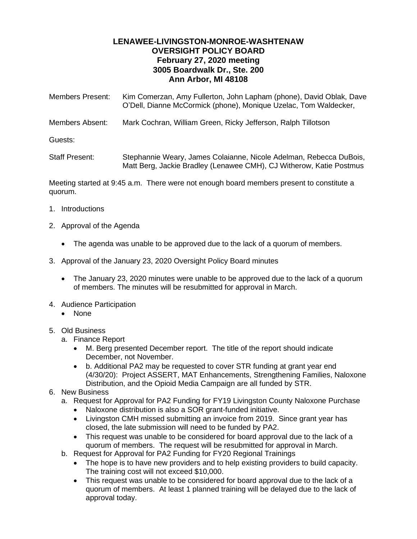## **LENAWEE-LIVINGSTON-MONROE-WASHTENAW OVERSIGHT POLICY BOARD February 27, 2020 meeting 3005 Boardwalk Dr., Ste. 200 Ann Arbor, MI 48108**

| <b>Members Present:</b> | Kim Comerzan, Amy Fullerton, John Lapham (phone), David Oblak, Dave<br>O'Dell, Dianne McCormick (phone), Monique Uzelac, Tom Waldecker,   |
|-------------------------|-------------------------------------------------------------------------------------------------------------------------------------------|
| Members Absent:         | Mark Cochran, William Green, Ricky Jefferson, Ralph Tillotson                                                                             |
| Guests:                 |                                                                                                                                           |
| <b>Staff Present:</b>   | Stephannie Weary, James Colaianne, Nicole Adelman, Rebecca DuBois,<br>Matt Berg, Jackie Bradley (Lenawee CMH), CJ Witherow, Katie Postmus |

Meeting started at 9:45 a.m. There were not enough board members present to constitute a quorum.

- 1. Introductions
- 2. Approval of the Agenda
	- The agenda was unable to be approved due to the lack of a quorum of members.
- 3. Approval of the January 23, 2020 Oversight Policy Board minutes
	- The January 23, 2020 minutes were unable to be approved due to the lack of a quorum of members. The minutes will be resubmitted for approval in March.
- 4. Audience Participation
	- None
- 5. Old Business
	- a. Finance Report
		- M. Berg presented December report. The title of the report should indicate December, not November.
		- b. Additional PA2 may be requested to cover STR funding at grant year end (4/30/20): Project ASSERT, MAT Enhancements, Strengthening Families, Naloxone Distribution, and the Opioid Media Campaign are all funded by STR.
- 6. New Business
	- a. Request for Approval for PA2 Funding for FY19 Livingston County Naloxone Purchase
		- Naloxone distribution is also a SOR grant-funded initiative.
		- Livingston CMH missed submitting an invoice from 2019. Since grant year has closed, the late submission will need to be funded by PA2.
		- This request was unable to be considered for board approval due to the lack of a quorum of members. The request will be resubmitted for approval in March.
	- b. Request for Approval for PA2 Funding for FY20 Regional Trainings
		- The hope is to have new providers and to help existing providers to build capacity. The training cost will not exceed \$10,000.
		- This request was unable to be considered for board approval due to the lack of a quorum of members. At least 1 planned training will be delayed due to the lack of approval today.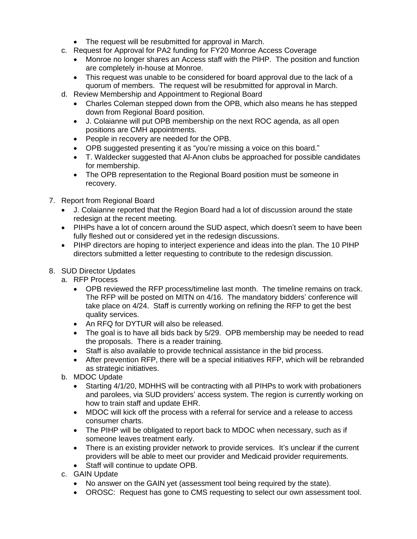- The request will be resubmitted for approval in March.
- c. Request for Approval for PA2 funding for FY20 Monroe Access Coverage
	- Monroe no longer shares an Access staff with the PIHP. The position and function are completely in-house at Monroe.
	- This request was unable to be considered for board approval due to the lack of a quorum of members. The request will be resubmitted for approval in March.
- d. Review Membership and Appointment to Regional Board
	- Charles Coleman stepped down from the OPB, which also means he has stepped down from Regional Board position.
	- J. Colaianne will put OPB membership on the next ROC agenda, as all open positions are CMH appointments.
	- People in recovery are needed for the OPB.
	- OPB suggested presenting it as "you're missing a voice on this board."
	- T. Waldecker suggested that Al-Anon clubs be approached for possible candidates for membership.
	- The OPB representation to the Regional Board position must be someone in recovery.
- 7. Report from Regional Board
	- J. Colaianne reported that the Region Board had a lot of discussion around the state redesign at the recent meeting.
	- PIHPs have a lot of concern around the SUD aspect, which doesn't seem to have been fully fleshed out or considered yet in the redesign discussions.
	- PIHP directors are hoping to interject experience and ideas into the plan. The 10 PIHP directors submitted a letter requesting to contribute to the redesign discussion.

## 8. SUD Director Updates

- a. RFP Process
	- OPB reviewed the RFP process/timeline last month. The timeline remains on track. The RFP will be posted on MITN on 4/16. The mandatory bidders' conference will take place on 4/24. Staff is currently working on refining the RFP to get the best quality services.
	- An RFQ for DYTUR will also be released.
	- The goal is to have all bids back by 5/29. OPB membership may be needed to read the proposals. There is a reader training.
	- Staff is also available to provide technical assistance in the bid process.
	- After prevention RFP, there will be a special initiatives RFP, which will be rebranded as strategic initiatives.
- b. MDOC Update
	- Starting 4/1/20, MDHHS will be contracting with all PIHPs to work with probationers and parolees, via SUD providers' access system. The region is currently working on how to train staff and update EHR.
	- MDOC will kick off the process with a referral for service and a release to access consumer charts.
	- The PIHP will be obligated to report back to MDOC when necessary, such as if someone leaves treatment early.
	- There is an existing provider network to provide services. It's unclear if the current providers will be able to meet our provider and Medicaid provider requirements.
	- Staff will continue to update OPB.
- c. GAIN Update
	- No answer on the GAIN yet (assessment tool being required by the state).
	- OROSC: Request has gone to CMS requesting to select our own assessment tool.